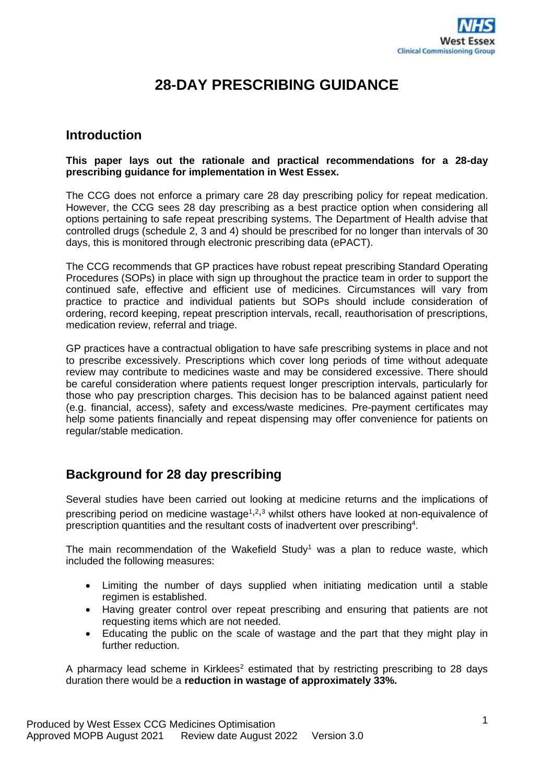

# **28-DAY PRESCRIBING GUIDANCE**

### **Introduction**

#### **This paper lays out the rationale and practical recommendations for a 28-day prescribing guidance for implementation in West Essex.**

The CCG does not enforce a primary care 28 day prescribing policy for repeat medication. However, the CCG sees 28 day prescribing as a best practice option when considering all options pertaining to safe repeat prescribing systems. The Department of Health advise that controlled drugs (schedule 2, 3 and 4) should be prescribed for no longer than intervals of 30 days, this is monitored through electronic prescribing data (ePACT).

The CCG recommends that GP practices have robust repeat prescribing Standard Operating Procedures (SOPs) in place with sign up throughout the practice team in order to support the continued safe, effective and efficient use of medicines. Circumstances will vary from practice to practice and individual patients but SOPs should include consideration of ordering, record keeping, repeat prescription intervals, recall, reauthorisation of prescriptions, medication review, referral and triage.

GP practices have a contractual obligation to have safe prescribing systems in place and not to prescribe excessively. Prescriptions which cover long periods of time without adequate review may contribute to medicines waste and may be considered excessive. There should be careful consideration where patients request longer prescription intervals, particularly for those who pay prescription charges. This decision has to be balanced against patient need (e.g. financial, access), safety and excess/waste medicines. Pre-payment certificates may help some patients financially and repeat dispensing may offer convenience for patients on regular/stable medication.

# **Background for 28 day prescribing**

Several studies have been carried out looking at medicine returns and the implications of prescribing period on medicine wastage<sup> $1,2,3$ </sup> whilst others have looked at non-equivalence of prescription quantities and the resultant costs of inadvertent over prescribing<sup>4</sup>.

The main recommendation of the Wakefield Study<sup>[1](#page-0-0)</sup> was a plan to reduce waste, which included the following measures:

- <span id="page-0-1"></span><span id="page-0-0"></span>• Limiting the number of days supplied when initiating medication until a stable regimen is established.
- Having greater control over repeat prescribing and ensuring that patients are not requesting items which are not needed.
- Educating the public on the scale of wastage and the part that they might play in further reduction.

A pharmacy lead scheme in Kirklees<sup>[2](#page-0-1)</sup> estimated that by restricting prescribing to 28 days duration there would be a **reduction in wastage of approximately 33%.**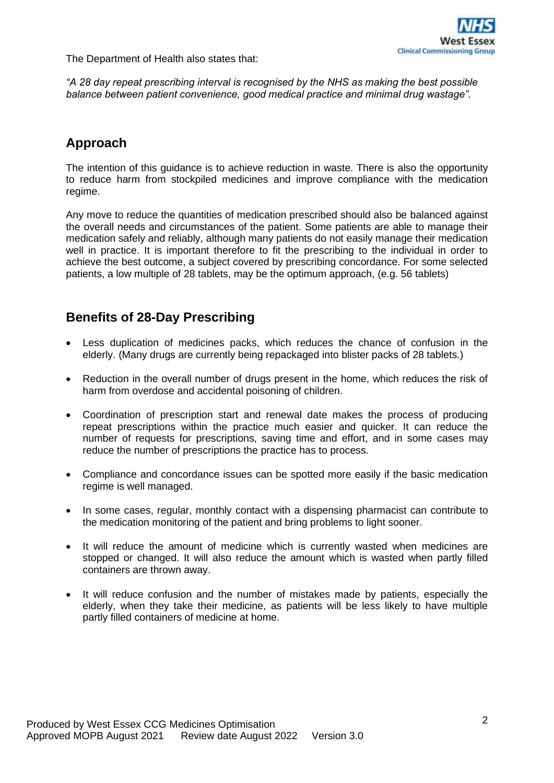The Department of Health also states that:

*"A 28 day repeat prescribing interval is recognised by the NHS as making the best possible balance between patient convenience, good medical practice and minimal drug wastage".*

# **Approach**

The intention of this guidance is to achieve reduction in waste. There is also the opportunity to reduce harm from stockpiled medicines and improve compliance with the medication regime.

Any move to reduce the quantities of medication prescribed should also be balanced against the overall needs and circumstances of the patient. Some patients are able to manage their medication safely and reliably, although many patients do not easily manage their medication well in practice. It is important therefore to fit the prescribing to the individual in order to achieve the best outcome, a subject covered by prescribing concordance. For some selected patients, a low multiple of 28 tablets, may be the optimum approach, (e.g. 56 tablets)

# **Benefits of 28-Day Prescribing**

- Less duplication of medicines packs, which reduces the chance of confusion in the elderly. (Many drugs are currently being repackaged into blister packs of 28 tablets.)
- Reduction in the overall number of drugs present in the home, which reduces the risk of harm from overdose and accidental poisoning of children.
- Coordination of prescription start and renewal date makes the process of producing repeat prescriptions within the practice much easier and quicker. It can reduce the number of requests for prescriptions, saving time and effort, and in some cases may reduce the number of prescriptions the practice has to process.
- Compliance and concordance issues can be spotted more easily if the basic medication regime is well managed.
- In some cases, regular, monthly contact with a dispensing pharmacist can contribute to the medication monitoring of the patient and bring problems to light sooner.
- It will reduce the amount of medicine which is currently wasted when medicines are stopped or changed. It will also reduce the amount which is wasted when partly filled containers are thrown away.
- It will reduce confusion and the number of mistakes made by patients, especially the elderly, when they take their medicine, as patients will be less likely to have multiple partly filled containers of medicine at home.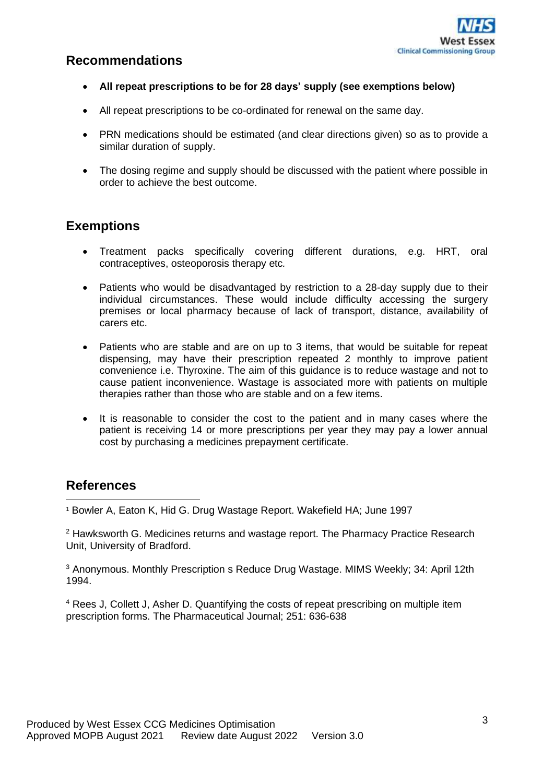

# **Recommendations**

- **All repeat prescriptions to be for 28 days' supply (see exemptions below)**
- All repeat prescriptions to be co-ordinated for renewal on the same day.
- PRN medications should be estimated (and clear directions given) so as to provide a similar duration of supply.
- The dosing regime and supply should be discussed with the patient where possible in order to achieve the best outcome.

# **Exemptions**

- Treatment packs specifically covering different durations, e.g. HRT, oral contraceptives, osteoporosis therapy etc*.*
- Patients who would be disadvantaged by restriction to a 28-day supply due to their individual circumstances. These would include difficulty accessing the surgery premises or local pharmacy because of lack of transport, distance, availability of carers etc.
- Patients who are stable and are on up to 3 items, that would be suitable for repeat dispensing, may have their prescription repeated 2 monthly to improve patient convenience i.e. Thyroxine. The aim of this guidance is to reduce wastage and not to cause patient inconvenience. Wastage is associated more with patients on multiple therapies rather than those who are stable and on a few items.
- It is reasonable to consider the cost to the patient and in many cases where the patient is receiving 14 or more prescriptions per year they may pay a lower annual cost by purchasing a medicines prepayment certificate.

#### **References**

<sup>1</sup> Bowler A, Eaton K, Hid G. Drug Wastage Report. Wakefield HA; June 1997

<sup>2</sup> Hawksworth G. Medicines returns and wastage report. The Pharmacy Practice Research Unit, University of Bradford.

<sup>3</sup> Anonymous. Monthly Prescription s Reduce Drug Wastage. MIMS Weekly: 34: April 12th 1994.

<sup>4</sup> Rees J, Collett J, Asher D. Quantifying the costs of repeat prescribing on multiple item prescription forms. The Pharmaceutical Journal; 251: 636-638